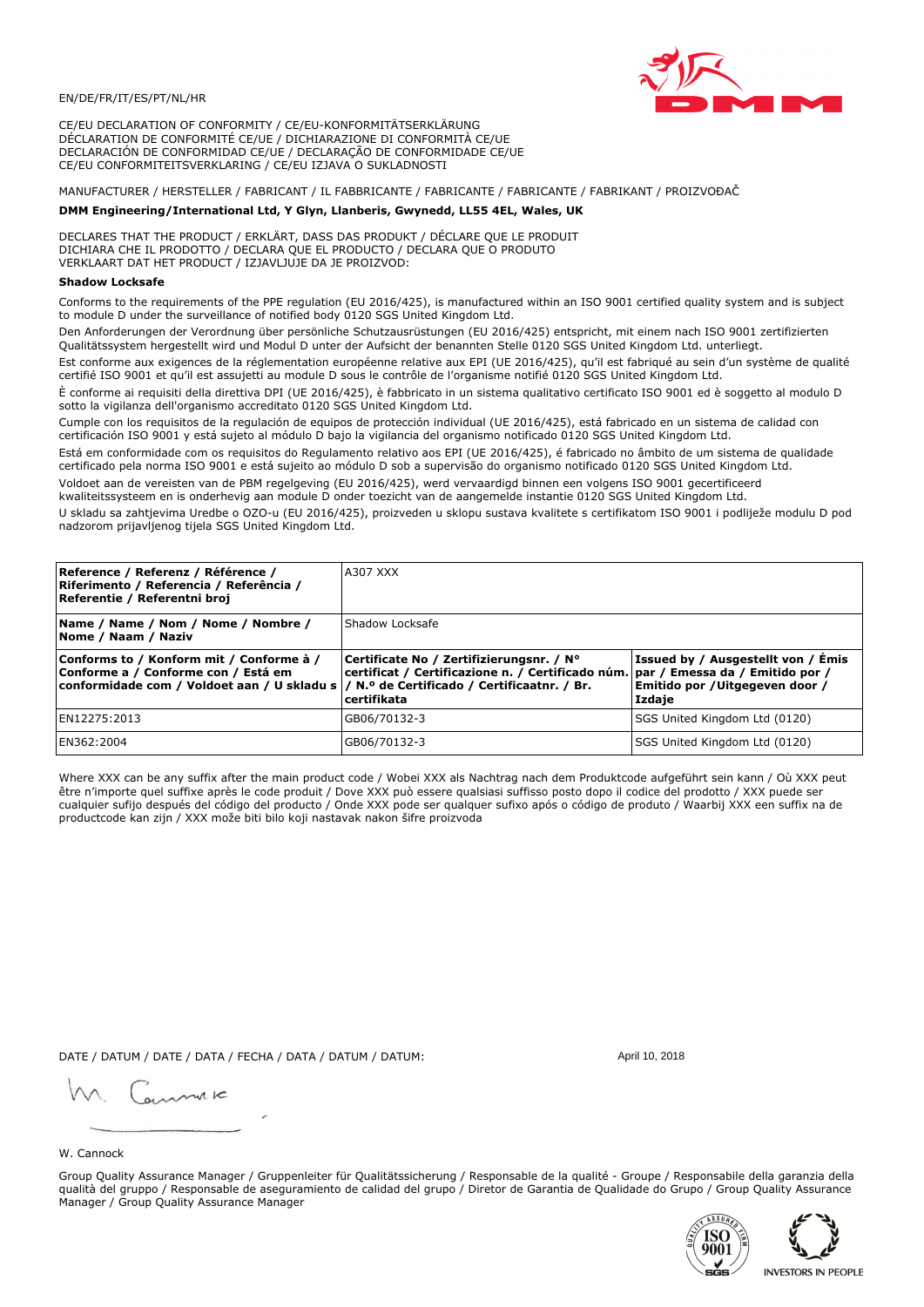

CE/EU DECLARATION OF CONFORMITY / CE/EU-KONFORMITÄTSERKLÄRUNG DÉCLARATION DE CONFORMITÉ CE/UE / DICHIARAZIONE DI CONFORMITÀ CE/UE DECLARACIÓN DE CONFORMIDAD CE/UE / DECLARAÇÃO DE CONFORMIDADE CE/UE CE/EU CONFORMITEITSVERKLARING / CE/EU IZJAVA O SUKLADNOSTI

# MANUFACTURER / HERSTELLER / FABRICANT / IL FABBRICANTE / FABRICANTE / FABRICANTE / FABRIKANT / PROIZVOĐAČ

## DMM Engineering/International Ltd, Y Glyn, Llanberis, Gwynedd, LL55 4EL, Wales, UK

DECLARES THAT THE PRODUCT / ERKLÄRT, DASS DAS PRODUKT / DÉCLARE QUE LE PRODUIT<br>DICHIARA CHE IL PRODOTTO / DECLARA QUE EL PRODUCTO / DECLARA QUE O PRODUTO VERKLAART DAT HET PRODUCT / IZJAVLJUJE DA JE PROIZVOD:

### **Shadow Locksafe**

Conforms to the requirements of the PPE regulation (EU 2016/425), is manufactured within an ISO 9001 certified quality system and is subject to module D under the surveillance of notified body 0120 SGS United Kingdom Ltd.

Den Anforderungen der Verordnung über persönliche Schutzausrüstungen (EU 2016/425) entspricht, mit einem nach ISO 9001 zertifizierten Qualitätssystem hergestellt wird und Modul D unter der Aufsicht der benannten Stelle 0120 SGS United Kingdom Ltd. unterliegt.

Est conforme aux exigences de la réglementation européenne relative aux EPI (UE 2016/425), qu'il est fabriqué au sein d'un système de qualité certifié ISO 9001 et qu'il est assujetti au module D sous le contrôle de l'organisme notifié 0120 SGS United Kingdom Ltd.

È conforme ai requisiti della direttiva DPI (UE 2016/425), è fabbricato in un sistema qualitativo certificato ISO 9001 ed è soggetto al modulo D sotto la vigilanza dell'organismo accreditato 0120 SGS United Kingdom Ltd.

Cumple con los requisitos de la regulación de equipos de protección individual (UE 2016/425), está fabricado en un sistema de calidad con certificación ISO 9001 y está sujeto al módulo D bajo la vigilancia del organismo notificado 0120 SGS United Kingdom Ltd.

Está em conformidade com os requisitos do Regulamento relativo aos EPI (UE 2016/425), é fabricado no âmbito de um sistema de qualidade certificado pela norma ISO 9001 e está sujeito ao módulo D sob a supervisão do organismo notificado 0120 SGS United Kingdom Ltd. Voldoet aan de vereisten van de PBM regelgeving (EU 2016/425), werd vervaardigd binnen een volgens ISO 9001 gecertificeerd

kwaliteitssysteem en is onderhevig aan module D onder toezicht van de aangemelde instantie 0120 SGS United Kingdom Ltd.

U skladu sa zahtjevima Uredbe o OZO-u (EU 2016/425), proizveden u sklopu sustava kvalitete s certifikatom ISO 9001 i podliježe modulu D pod nadzorom prijavljenog tijela SGS United Kingdom Ltd.

| Reference / Referenz / Référence /<br>Riferimento / Referencia / Referência /<br>Referentie / Referentni broj                                                              | A307 XXX                                                                                                                                     |                                                                                 |  |
|----------------------------------------------------------------------------------------------------------------------------------------------------------------------------|----------------------------------------------------------------------------------------------------------------------------------------------|---------------------------------------------------------------------------------|--|
| Name / Name / Nom / Nome / Nombre /<br>Nome / Naam / Naziv                                                                                                                 | Shadow Locksafe                                                                                                                              |                                                                                 |  |
| Conforms to / Konform mit / Conforme à /<br>Conforme a / Conforme con / Está em<br>conformidade com / Voldoet aan / U skladu s / N.º de Certificado / Certificaatnr. / Br. | Certificate No / Zertifizierungsnr. / N°<br>certificat / Certificazione n. / Certificado núm. par / Emessa da / Emitido por /<br>certifikata | Issued by / Ausgestellt von / Émis<br>Emitido por / Uitgegeven door /<br>Izdaje |  |
| EN12275:2013                                                                                                                                                               | GB06/70132-3                                                                                                                                 | SGS United Kingdom Ltd (0120)                                                   |  |
| EN362:2004                                                                                                                                                                 | GB06/70132-3                                                                                                                                 | SGS United Kingdom Ltd (0120)                                                   |  |

Where XXX can be any suffix after the main product code / Wobei XXX als Nachtrag nach dem Produktcode aufgeführt sein kann / Où XXX peut être n'importe quel suffixe après le code produit / Dove XXX può essere qualsiasi suffisso posto dopo il codice del prodotto / XXX puede ser cualquier sufijo después del código del producto / Onde XXX pode ser qualquer sufixo após o código de produto / Waarbij XXX een suffix na de productcode kan zijn / XXX može biti bilo koji nastavak nakon šifre proizvoda

DATE / DATUM / DATE / DATA / FECHA / DATA / DATUM / DATUM:

gimmic

April 10, 2018

### W. Cannock

Group Quality Assurance Manager / Gruppenleiter für Qualitätssicherung / Responsable de la qualité - Groupe / Responsabile della garanzia della qualità del gruppo / Responsable de aseguramiento de calidad del grupo / Diretor de Garantia de Qualidade do Grupo / Group Quality Assurance Manager / Group Quality Assurance Manager



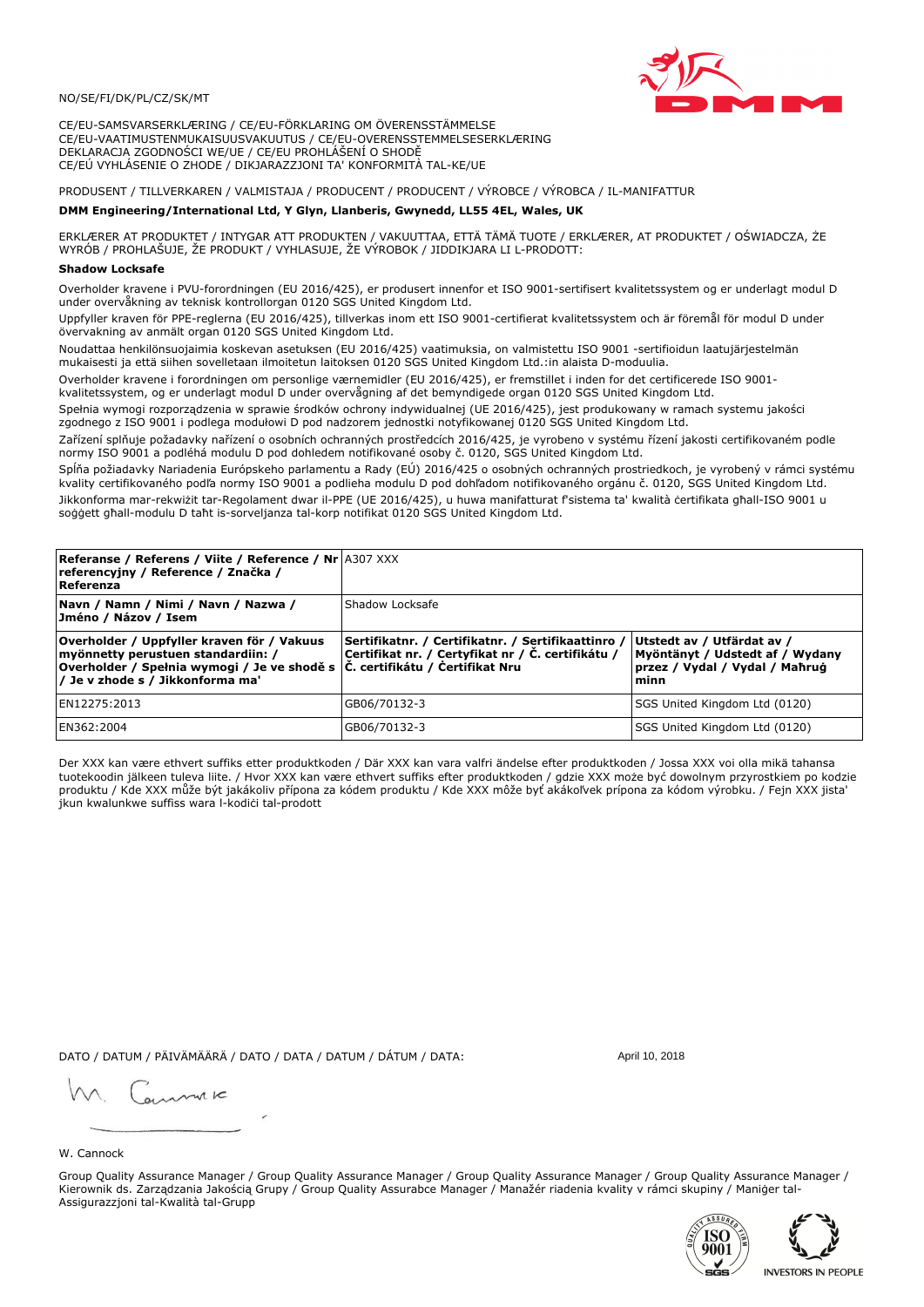### NO/SE/FI/DK/PL/CZ/SK/MT

CE/EU-SAMSVARSERKLÆRING / CE/EU-FÖRKLARING OM ÖVERENSSTÄMMELSE CE/EU-VAATIMUSTENMUKAISUUSVAKUUTUS / CE/EU-OVERENSSTEMMELSESERKLÆRING DEKLARACJA ZGODNOŚCI WE/UE / CE/EU PROHLÁŠENÍ O SHODĚ CE/EÚ VYHLÁSENIE O ZHODE / DIKJARAZZJONI TA' KONFORMITÀ TAL-KE/UE

PRODUSENT / TILLVERKAREN / VALMISTAJA / PRODUCENT / PRODUCENT / VÝROBCE / VÝROBCA / IL-MANIFATTUR

### DMM Engineering/International Ltd, Y Glyn, Llanberis, Gwynedd, LL55 4EL, Wales, UK

ERKLÆRER AT PRODUKTET / INTYGAR ATT PRODUKTEN / VAKUUTTAA, ETTÄ TÄMÄ TUOTE / ERKLÆRER, AT PRODUKTET / OŚWIADCZA, ŻE<br>WYRÓB / PROHLAŠUJE, ŽE PRODUKT / VYHLASUJE, ŽE VÝROBOK / JIDDIKJARA LI L-PRODOTT:

Overholder kravene i PVU-forordningen (EU 2016/425), er produsert innenfor et ISO 9001-sertifisert kvalitetssystem og er underlagt modul D<br>under overvåkning av teknisk kontrollorgan 0120 SGS United Kingdom Ltd.

Uppfyller kraven för PPE-reglerna (EU 2016/425), tillverkas inom ett ISO 9001-certifierat kvalitetssystem och är föremål för modul D under övervakning av anmält organ 0120 SGS United Kingdom Ltd.

Noudattaa henkilönsuojaimia koskevan asetuksen (EU 2016/425) vaatimuksia, on valmistettu ISO 9001 -sertifioidun laatujärjestelmän mukaisesti ja että siihen sovelletaan ilmoitetun laitoksen 0120 SGS United Kingdom Ltd.:in alaista D-moduulia.

Overholder kravene i forordningen om personlige værnemidler (EU 2016/425), er fremstillet i inden for det certificerede ISO 9001kvalitetssystem, og er underlagt modul D under overvågning af det bemyndigede organ 0120 SGS United Kingdom Ltd.

Spełnia wymogi rozporządzenia w sprawie środków ochrony indywidualnej (UE 2016/425), jest produkowany w ramach systemu jakości zgodnego z ISO 9001 i podlega modułowi D pod nadzorem jednostki notyfikowanej 0120 SGS United Kingdom Ltd.

Zařízení splňuje požadavky nařízení o osobních ochranných prostředcích 2016/425, je vyrobeno v systému řízení jakosti certifikovaném podle normy ISO 9001 a podléhá modulu D pod dohledem notifikované osoby č. 0120, SGS United Kingdom Ltd.

Spĺňa požiadavky Nariadenia Európskeho parlamentu a Rady (EÚ) 2016/425 o osobných ochranných prostriedkoch, je vyrobený v rámci systému kvality certifikovaného podľa normy ISO 9001 a podlieha modulu D pod dohľadom notifikovaného orgánu č. 0120, SGS Únited Kingdom Ltd. Jikkonforma mar-rekwiżit tar-Regolament dwar il-PPE (UE 2016/425), u huwa manifatturat f'sistema ta' kwalità certifikata għall-ISO 9001 u soggett ghall-modulu D taht is-sorveljanza tal-korp notifikat 0120 SGS United Kingdom Ltd.

| <b>Referanse / Referens / Viite / Reference / Nr 4307 XXX</b><br>referencyjny / Reference / Značka /<br>Referenza                                                                                                 |                                                                                                          |                                                                                                         |
|-------------------------------------------------------------------------------------------------------------------------------------------------------------------------------------------------------------------|----------------------------------------------------------------------------------------------------------|---------------------------------------------------------------------------------------------------------|
| Navn / Namn / Nimi / Navn / Nazwa /<br>Jméno / Názov / Isem                                                                                                                                                       | Shadow Locksafe                                                                                          |                                                                                                         |
| Overholder / Uppfyller kraven för / Vakuus<br>myönnetty perustuen standardiin: /<br> Overholder / Spełnia wymogi / Je ve shodě s $ \tilde{C} $ . certifikátu / Čertifikat Nru<br>/ Je v zhode s / Jikkonforma ma' | Sertifikatnr. / Certifikatnr. / Sertifikaattinro /<br> Certifikat nr. / Certyfikat nr / Č. certifikátu / | Utstedt av / Utfärdat av /<br>Myöntänyt / Udstedt af / Wydany<br>przez / Vydal / Vydal / Maħruġ<br>minn |
| EN12275:2013                                                                                                                                                                                                      | GB06/70132-3                                                                                             | SGS United Kingdom Ltd (0120)                                                                           |
| EN362:2004                                                                                                                                                                                                        | GB06/70132-3                                                                                             | SGS United Kingdom Ltd (0120)                                                                           |

Der XXX kan være ethvert suffiks etter produktkoden / Där XXX kan vara valfri ändelse efter produktkoden / Jossa XXX voi olla mikä tahansa tuotekoodin jälkeen tuleva liite. / Hvor XXX kan være ethvert suffiks efter produktkoden / gdzie XXX može być dowolnym przyrostkiem po kodzie<br>produktu / Kde XXX může být jakákoliv přípona za kódem produktu / Kde XXX môže b jkun kwalunkwe suffiss wara l-kodići tal-prodott

DATO / DATUM / PÄIVÄMÄÄRÄ / DATO / DATA / DATUM / DÁTUM / DATA:

April 10, 2018

annuic

W. Cannock

Group Quality Assurance Manager / Group Quality Assurance Manager / Group Quality Assurance Manager / Group Quality Assurance Manager / Kierownik ds. Zarządzania Jakością Grupy / Group Quality Assurabce Manager / Manažér riadenia kvality v rámci skupiny / Maniger tal-Assigurazzjoni tal-Kwalità tal-Grupp